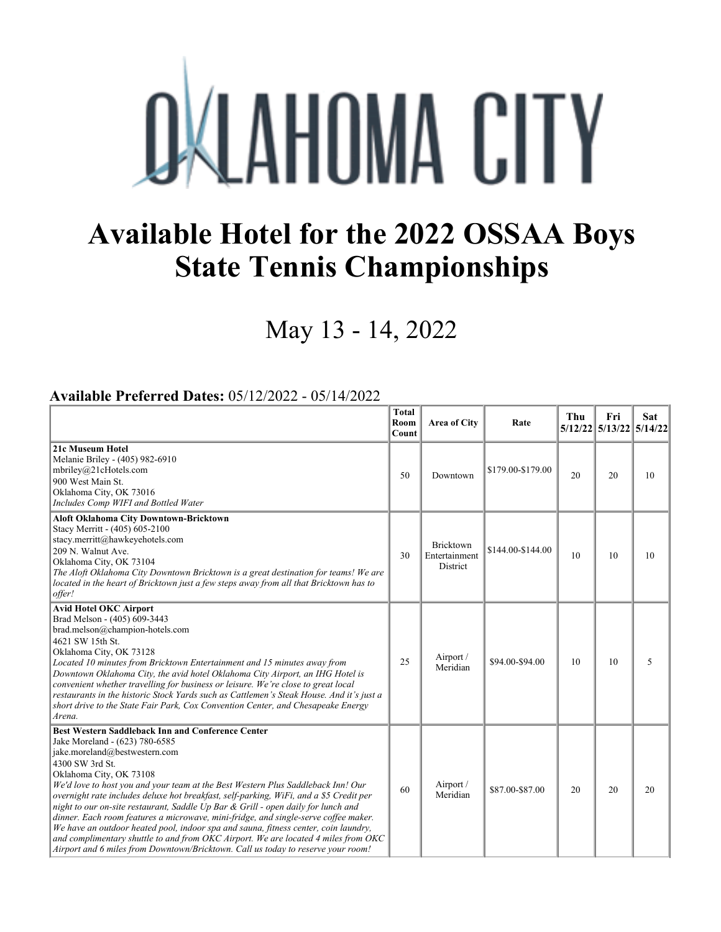## **OKLAHOMA CITY**

## **Available Hotel for the 2022 OSSAA Boys State Tennis Championships**

May 13 - 14, 2022

## **Available Preferred Dates:** 05/12/2022 - 05/14/2022

|                                                                                                                                                                                                                                                                                                                                                                                                                                                                                                                                                                                                                                                                                                                                                                                               | <b>Total</b><br>Room<br>Count | Area of City                           | Rate              | Thu | Fri<br>5/12/22 5/13/22 5/14/22 | <b>Sat</b> |
|-----------------------------------------------------------------------------------------------------------------------------------------------------------------------------------------------------------------------------------------------------------------------------------------------------------------------------------------------------------------------------------------------------------------------------------------------------------------------------------------------------------------------------------------------------------------------------------------------------------------------------------------------------------------------------------------------------------------------------------------------------------------------------------------------|-------------------------------|----------------------------------------|-------------------|-----|--------------------------------|------------|
| 21c Museum Hotel<br>Melanie Briley - (405) 982-6910<br>mbriley@21cHotels.com<br>900 West Main St.<br>Oklahoma City, OK 73016<br>Includes Comp WIFI and Bottled Water                                                                                                                                                                                                                                                                                                                                                                                                                                                                                                                                                                                                                          | 50                            | Downtown                               | \$179.00-\$179.00 | 20  | 20                             | 10         |
| <b>Aloft Oklahoma City Downtown-Bricktown</b><br>Stacy Merritt - (405) 605-2100<br>stacy.merritt@hawkeyehotels.com<br>209 N. Walnut Ave.<br>Oklahoma City, OK 73104<br>The Aloft Oklahoma City Downtown Bricktown is a great destination for teams! We are<br>located in the heart of Bricktown just a few steps away from all that Bricktown has to<br>offer!                                                                                                                                                                                                                                                                                                                                                                                                                                | 30                            | Bricktown<br>Entertainment<br>District | \$144.00-\$144.00 | 10  | 10                             | 10         |
| <b>Avid Hotel OKC Airport</b><br>Brad Melson - (405) 609-3443<br>brad.melson@champion-hotels.com<br>4621 SW 15th St.<br>Oklahoma City, OK 73128<br>Located 10 minutes from Bricktown Entertainment and 15 minutes away from<br>Downtown Oklahoma City, the avid hotel Oklahoma City Airport, an IHG Hotel is<br>convenient whether travelling for business or leisure. We're close to great local<br>restaurants in the historic Stock Yards such as Cattlemen's Steak House. And it's just a<br>short drive to the State Fair Park, Cox Convention Center, and Chesapeake Energy<br>Arena.                                                                                                                                                                                                   | 25                            | Airport /<br>Meridian                  | \$94.00-\$94.00   | 10  | 10                             | 5          |
| Best Western Saddleback Inn and Conference Center<br>Jake Moreland - (623) 780-6585<br>jake.moreland@bestwestern.com<br>4300 SW 3rd St.<br>Oklahoma City, OK 73108<br>We'd love to host you and your team at the Best Western Plus Saddleback Inn! Our<br>overnight rate includes deluxe hot breakfast, self-parking, WiFi, and a \$5 Credit per<br>night to our on-site restaurant, Saddle Up Bar & Grill - open daily for lunch and<br>dinner. Each room features a microwave, mini-fridge, and single-serve coffee maker.<br>We have an outdoor heated pool, indoor spa and sauna, fitness center, coin laundry,<br>and complimentary shuttle to and from OKC Airport. We are located 4 miles from OKC<br>Airport and 6 miles from Downtown/Bricktown. Call us today to reserve your room! | 60                            | Airport /<br>Meridian                  | \$87.00-\$87.00   | 20  | 20                             | 20         |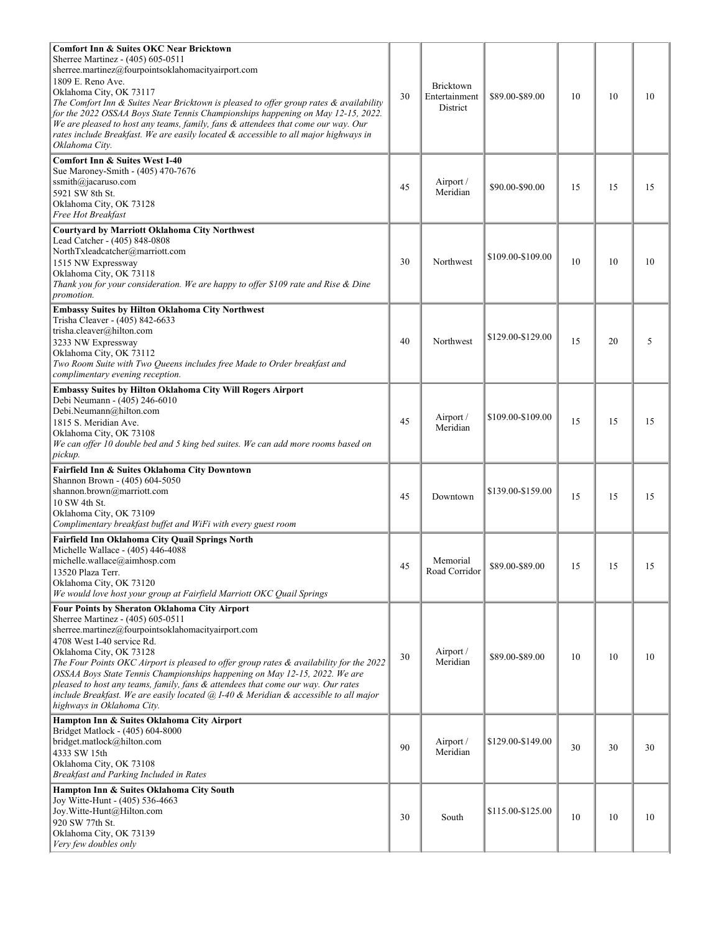| <b>Comfort Inn &amp; Suites OKC Near Bricktown</b><br>Sherree Martinez - (405) 605-0511<br>sherree.martinez@fourpointsoklahomacityairport.com<br>1809 E. Reno Ave.<br>Oklahoma City, OK 73117<br>The Comfort Inn & Suites Near Bricktown is pleased to offer group rates & availability<br>for the 2022 OSSAA Boys State Tennis Championships happening on May 12-15, 2022.<br>We are pleased to host any teams, family, fans & attendees that come our way. Our<br>rates include Breakfast. We are easily located & accessible to all major highways in<br>Oklahoma City.           | 30 | <b>Bricktown</b><br>Entertainment<br><b>District</b> | \$89.00-\$89.00   | 10 | 10 | 10 |
|--------------------------------------------------------------------------------------------------------------------------------------------------------------------------------------------------------------------------------------------------------------------------------------------------------------------------------------------------------------------------------------------------------------------------------------------------------------------------------------------------------------------------------------------------------------------------------------|----|------------------------------------------------------|-------------------|----|----|----|
| <b>Comfort Inn &amp; Suites West I-40</b><br>Sue Maroney-Smith - (405) 470-7676<br>ssmith@jacaruso.com<br>5921 SW 8th St.<br>Oklahoma City, OK 73128<br>Free Hot Breakfast                                                                                                                                                                                                                                                                                                                                                                                                           | 45 | Airport /<br>Meridian                                | \$90.00-\$90.00   | 15 | 15 | 15 |
| <b>Courtyard by Marriott Oklahoma City Northwest</b><br>Lead Catcher - (405) 848-0808<br>NorthTxleadcatcher@marriott.com<br>1515 NW Expressway<br>Oklahoma City, OK 73118<br>Thank you for your consideration. We are happy to offer \$109 rate and Rise & Dine<br>promotion.                                                                                                                                                                                                                                                                                                        | 30 | Northwest                                            | \$109.00-\$109.00 | 10 | 10 | 10 |
| <b>Embassy Suites by Hilton Oklahoma City Northwest</b><br>Trisha Cleaver - (405) 842-6633<br>trisha.cleaver@hilton.com<br>3233 NW Expressway<br>Oklahoma City, OK 73112<br>Two Room Suite with Two Queens includes free Made to Order breakfast and<br>complimentary evening reception.                                                                                                                                                                                                                                                                                             | 40 | Northwest                                            | \$129.00-\$129.00 | 15 | 20 | 5  |
| <b>Embassy Suites by Hilton Oklahoma City Will Rogers Airport</b><br>Debi Neumann - (405) 246-6010<br>Debi.Neumann@hilton.com<br>1815 S. Meridian Ave.<br>Oklahoma City, OK 73108<br>We can offer 10 double bed and 5 king bed suites. We can add more rooms based on<br>pickup.                                                                                                                                                                                                                                                                                                     | 45 | Airport /<br>Meridian                                | \$109.00-\$109.00 | 15 | 15 | 15 |
| Fairfield Inn & Suites Oklahoma City Downtown<br>Shannon Brown - (405) 604-5050<br>shannon.brown@marriott.com<br>10 SW 4th St.<br>Oklahoma City, OK 73109<br>Complimentary breakfast buffet and WiFi with every guest room                                                                                                                                                                                                                                                                                                                                                           | 45 | Downtown                                             | \$139,00-\$159,00 | 15 | 15 | 15 |
| Fairfield Inn Oklahoma City Quail Springs North<br>Michelle Wallace - (405) 446-4088<br>michelle.wallace@aimhosp.com<br>13520 Plaza Terr.<br>Oklahoma City, OK 73120<br>We would love host your group at Fairfield Marriott OKC Quail Springs                                                                                                                                                                                                                                                                                                                                        | 45 | Memorial<br>Road Corridor                            | \$89.00-\$89.00   | 15 | 15 | 15 |
| Four Points by Sheraton Oklahoma City Airport<br>Sherree Martinez - (405) 605-0511<br>sherree.martinez@fourpointsoklahomacityairport.com<br>4708 West I-40 service Rd.<br>Oklahoma City, OK 73128<br>The Four Points OKC Airport is pleased to offer group rates & availability for the 2022<br>OSSAA Boys State Tennis Championships happening on May 12-15, 2022. We are<br>pleased to host any teams, family, fans & attendees that come our way. Our rates<br>include Breakfast. We are easily located @ I-40 & Meridian & accessible to all major<br>highways in Oklahoma City. | 30 | Airport /<br>Meridian                                | \$89.00-\$89.00   | 10 | 10 | 10 |
| Hampton Inn & Suites Oklahoma City Airport<br>Bridget Matlock - (405) 604-8000<br>bridget.matlock@hilton.com<br>4333 SW 15th<br>Oklahoma City, OK 73108<br>Breakfast and Parking Included in Rates                                                                                                                                                                                                                                                                                                                                                                                   | 90 | Airport /<br>Meridian                                | \$129.00-\$149.00 | 30 | 30 | 30 |
| Hampton Inn & Suites Oklahoma City South<br>Joy Witte-Hunt - (405) 536-4663<br>Joy.Witte-Hunt@Hilton.com<br>920 SW 77th St.<br>Oklahoma City, OK 73139<br>Very few doubles only                                                                                                                                                                                                                                                                                                                                                                                                      | 30 | South                                                | \$115.00-\$125.00 | 10 | 10 | 10 |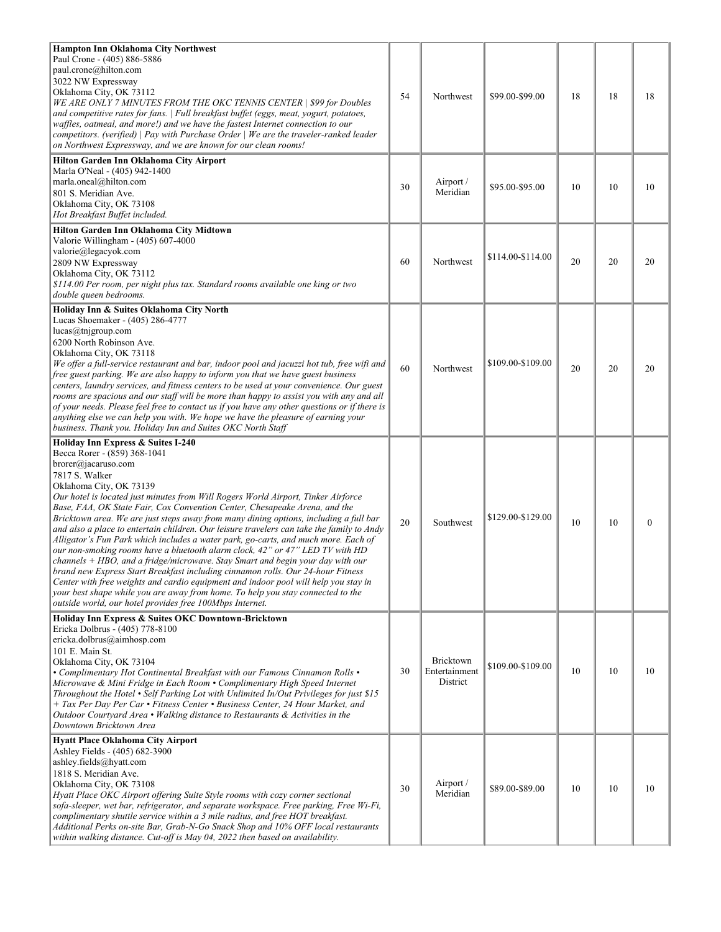| <b>Hampton Inn Oklahoma City Northwest</b><br>Paul Crone - (405) 886-5886<br>paul.crone@hilton.com<br>3022 NW Expressway<br>Oklahoma City, OK 73112<br>WE ARE ONLY 7 MINUTES FROM THE OKC TENNIS CENTER   \$99 for Doubles<br>and competitive rates for fans.   Full breakfast buffet (eggs, meat, yogurt, potatoes,<br>waffles, oatmeal, and more!) and we have the fastest Internet connection to our<br>competitors. (verified) $\vert$ Pay with Purchase Order $\vert$ We are the traveler-ranked leader<br>on Northwest Expressway, and we are known for our clean rooms!                                                                                                                                                                                                                                                                                                                                                                                                                                                                                                       | 54 | Northwest                              | \$99.00-\$99.00   | 18 | 18 | 18           |
|--------------------------------------------------------------------------------------------------------------------------------------------------------------------------------------------------------------------------------------------------------------------------------------------------------------------------------------------------------------------------------------------------------------------------------------------------------------------------------------------------------------------------------------------------------------------------------------------------------------------------------------------------------------------------------------------------------------------------------------------------------------------------------------------------------------------------------------------------------------------------------------------------------------------------------------------------------------------------------------------------------------------------------------------------------------------------------------|----|----------------------------------------|-------------------|----|----|--------------|
| Hilton Garden Inn Oklahoma City Airport<br>Marla O'Neal - (405) 942-1400<br>marla.oneal@hilton.com<br>801 S. Meridian Ave.<br>Oklahoma City, OK 73108<br>Hot Breakfast Buffet included.                                                                                                                                                                                                                                                                                                                                                                                                                                                                                                                                                                                                                                                                                                                                                                                                                                                                                              | 30 | Airport /<br>Meridian                  | \$95.00-\$95.00   | 10 | 10 | 10           |
| Hilton Garden Inn Oklahoma City Midtown<br>Valorie Willingham - (405) 607-4000<br>valorie@legacyok.com<br>2809 NW Expressway<br>Oklahoma City, OK 73112<br>\$114.00 Per room, per night plus tax. Standard rooms available one king or two<br>double queen bedrooms.                                                                                                                                                                                                                                                                                                                                                                                                                                                                                                                                                                                                                                                                                                                                                                                                                 | 60 | Northwest                              | \$114.00-\$114.00 | 20 | 20 | 20           |
| Holiday Inn & Suites Oklahoma City North<br>Lucas Shoemaker - (405) 286-4777<br>lucas@tnjgroup.com<br>6200 North Robinson Ave.<br>Oklahoma City, OK 73118<br>We offer a full-service restaurant and bar, indoor pool and jacuzzi hot tub, free wift and<br>free guest parking. We are also happy to inform you that we have guest business<br>centers, laundry services, and fitness centers to be used at your convenience. Our guest<br>rooms are spacious and our staff will be more than happy to assist you with any and all<br>of your needs. Please feel free to contact us if you have any other questions or if there is<br>anything else we can help you with. We hope we have the pleasure of earning your<br>business. Thank you. Holiday Inn and Suites OKC North Staff                                                                                                                                                                                                                                                                                                 | 60 | Northwest                              | \$109.00-\$109.00 | 20 | 20 | 20           |
| Holiday Inn Express & Suites I-240<br>Becca Rorer - (859) 368-1041<br>brorer@jacaruso.com<br>7817 S. Walker<br>Oklahoma City, OK 73139<br>Our hotel is located just minutes from Will Rogers World Airport, Tinker Airforce<br>Base, FAA, OK State Fair, Cox Convention Center, Chesapeake Arena, and the<br>Bricktown area. We are just steps away from many dining options, including a full bar<br>and also a place to entertain children. Our leisure travelers can take the family to Andy<br>Alligator's Fun Park which includes a water park, go-carts, and much more. Each of<br>our non-smoking rooms have a bluetooth alarm clock, 42" or 47" LED TV with HD<br>$channels + HBO$ , and a fridge/microwave. Stay Smart and begin your day with our<br>brand new Express Start Breakfast including cinnamon rolls. Our 24-hour Fitness<br>Center with free weights and cardio equipment and indoor pool will help you stay in<br>your best shape while you are away from home. To help you stay connected to the<br>outside world, our hotel provides free 100Mbps Internet. | 20 | Southwest                              | \$129.00-\$129.00 | 10 | 10 | $\mathbf{0}$ |
| Holiday Inn Express & Suites OKC Downtown-Bricktown<br>Ericka Dolbrus - (405) 778-8100<br>ericka.dolbrus@aimhosp.com<br>101 E. Main St.<br>Oklahoma City, OK 73104<br>• Complimentary Hot Continental Breakfast with our Famous Cinnamon Rolls •<br>Microwave & Mini Fridge in Each Room • Complimentary High Speed Internet<br>Throughout the Hotel • Self Parking Lot with Unlimited In/Out Privileges for just \$15<br>+ Tax Per Day Per Car • Fitness Center • Business Center, 24 Hour Market, and<br>Outdoor Courtyard Area • Walking distance to Restaurants & Activities in the<br>Downtown Bricktown Area                                                                                                                                                                                                                                                                                                                                                                                                                                                                   | 30 | Bricktown<br>Entertainment<br>District | \$109.00-\$109.00 | 10 | 10 | 10           |
| Hyatt Place Oklahoma City Airport<br>Ashley Fields - (405) 682-3900<br>ashley.fields@hyatt.com<br>1818 S. Meridian Ave.<br>Oklahoma City, OK 73108<br>Hyatt Place OKC Airport offering Suite Style rooms with cozy corner sectional<br>sofa-sleeper, wet bar, refrigerator, and separate workspace. Free parking, Free Wi-Fi,<br>complimentary shuttle service within a 3 mile radius, and free HOT breakfast.<br>Additional Perks on-site Bar, Grab-N-Go Snack Shop and 10% OFF local restaurants<br>within walking distance. Cut-off is May 04, 2022 then based on availability.                                                                                                                                                                                                                                                                                                                                                                                                                                                                                                   | 30 | Airport /<br>Meridian                  | \$89.00-\$89.00   | 10 | 10 | 10           |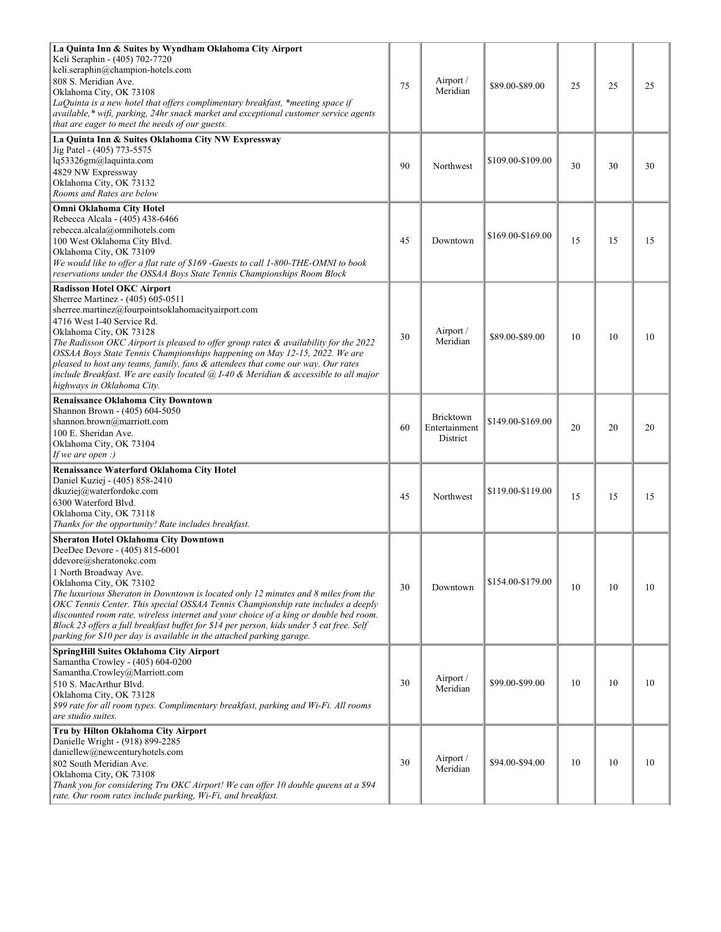| La Quinta Inn & Suites by Wyndham Oklahoma City Airport<br>Keli Seraphin - (405) 702-7720<br>keli.seraphin@champion-hotels.com<br>808 S. Meridian Ave.<br>Oklahoma City, OK 73108<br>LaQuinta is a new hotel that offers complimentary breakfast, *meeting space if<br>available,* wifi, parking, 24hr snack market and exceptional customer service agents<br>that are eager to meet the needs of our guests.                                                                                                                                                                                        | 75 | Airport /<br>Meridian                  | \$89.00-\$89.00   | 25 | 25 | 25 |
|-------------------------------------------------------------------------------------------------------------------------------------------------------------------------------------------------------------------------------------------------------------------------------------------------------------------------------------------------------------------------------------------------------------------------------------------------------------------------------------------------------------------------------------------------------------------------------------------------------|----|----------------------------------------|-------------------|----|----|----|
| La Quinta Inn & Suites Oklahoma City NW Expressway<br>Jig Patel - (405) 773-5575<br>lq53326gm@laquinta.com<br>4829 NW Expressway<br>Oklahoma City, OK 73132<br>Rooms and Rates are below                                                                                                                                                                                                                                                                                                                                                                                                              | 90 | Northwest                              | \$109.00-\$109.00 | 30 | 30 | 30 |
| Omni Oklahoma City Hotel<br>Rebecca Alcala - (405) 438-6466<br>rebecca.alcala@omnihotels.com<br>100 West Oklahoma City Blvd.<br>Oklahoma City, OK 73109<br>We would like to offer a flat rate of \$169 -Guests to call 1-800-THE-OMNI to book<br>reservations under the OSSAA Boys State Tennis Championships Room Block                                                                                                                                                                                                                                                                              | 45 | Downtown                               | \$169.00-\$169.00 | 15 | 15 | 15 |
| <b>Radisson Hotel OKC Airport</b><br>Sherree Martinez - (405) 605-0511<br>sherree.martinez@fourpointsoklahomacityairport.com<br>4716 West I-40 Service Rd.<br>Oklahoma City, OK 73128<br>The Radisson OKC Airport is pleased to offer group rates & availability for the 2022<br>OSSAA Boys State Tennis Championships happening on May 12-15, 2022. We are<br>pleased to host any teams, family, fans & attendees that come our way. Our rates<br>include Breakfast. We are easily located @ I-40 & Meridian & accessible to all major<br>highways in Oklahoma City.                                 | 30 | Airport /<br>Meridian                  | \$89.00-\$89.00   | 10 | 10 | 10 |
| <b>Renaissance Oklahoma City Downtown</b><br>Shannon Brown - (405) 604-5050<br>shannon.brown@marriott.com<br>100 E. Sheridan Ave.<br>Oklahoma City, OK 73104<br>If we are open :)                                                                                                                                                                                                                                                                                                                                                                                                                     | 60 | Bricktown<br>Entertainment<br>District | \$149,00-\$169.00 | 20 | 20 | 20 |
| Renaissance Waterford Oklahoma City Hotel<br>Daniel Kuziej - (405) 858-2410<br>dkuziej@waterfordokc.com<br>6300 Waterford Blvd.<br>Oklahoma City, OK 73118<br>Thanks for the opportunity! Rate includes breakfast.                                                                                                                                                                                                                                                                                                                                                                                    | 45 | Northwest                              | \$119,00-\$119.00 | 15 | 15 | 15 |
| <b>Sheraton Hotel Oklahoma City Downtown</b><br>DeeDee Devore - (405) 815-6001<br>ddevore@sheratonokc.com<br>1 North Broadway Ave.<br>Oklahoma City, OK 73102<br>The luxurious Sheraton in Downtown is located only 12 minutes and 8 miles from the<br>OKC Tennis Center. This special OSSAA Tennis Championship rate includes a deeply<br>discounted room rate, wireless internet and your choice of a king or double bed room.<br>Block 23 offers a full breakfast buffet for \$14 per person, kids under 5 eat free. Self<br>parking for \$10 per day is available in the attached parking garage. | 30 | Downtown                               | \$154.00-\$179.00 | 10 | 10 | 10 |
| SpringHill Suites Oklahoma City Airport<br>Samantha Crowley - (405) 604-0200<br>Samantha.Crowley@Marriott.com<br>510 S. MacArthur Blvd.<br>Oklahoma City, OK 73128<br>\$99 rate for all room types. Complimentary breakfast, parking and Wi-Fi. All rooms<br>are studio suites.                                                                                                                                                                                                                                                                                                                       | 30 | Airport /<br>Meridian                  | \$99.00-\$99.00   | 10 | 10 | 10 |
| Tru by Hilton Oklahoma City Airport<br>Danielle Wright - (918) 899-2285<br>daniellew@newcenturyhotels.com<br>802 South Meridian Ave.<br>Oklahoma City, OK 73108<br>Thank you for considering Tru OKC Airport! We can offer 10 double queens at a \$94<br>rate. Our room rates include parking, Wi-Fi, and breakfast.                                                                                                                                                                                                                                                                                  | 30 | Airport /<br>Meridian                  | \$94.00-\$94.00   | 10 | 10 | 10 |